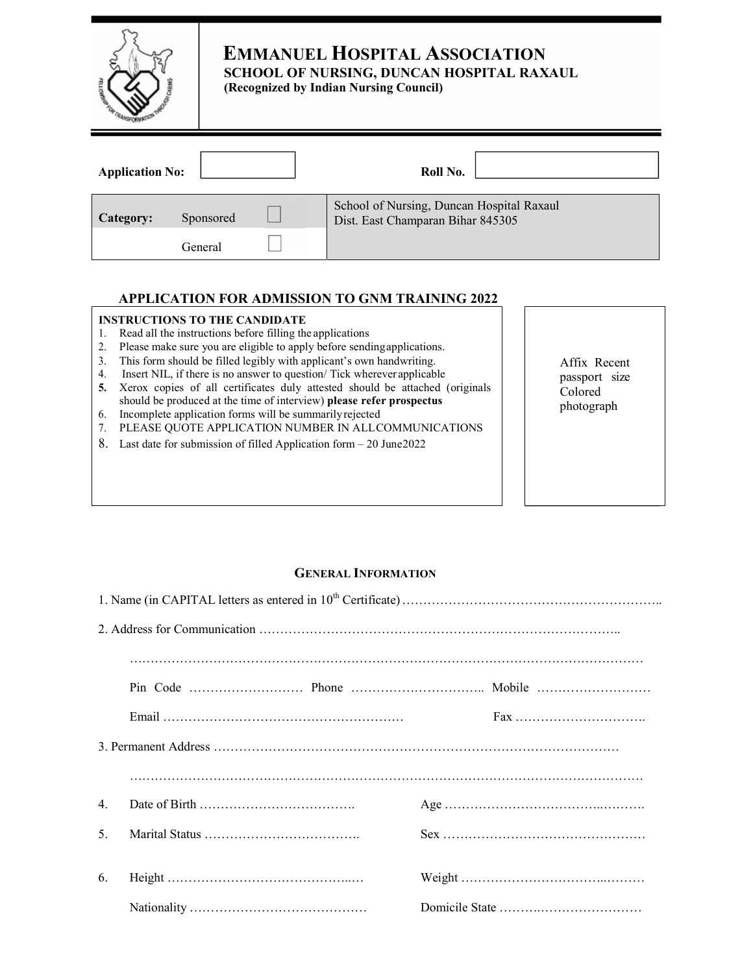|                        |           | <b>EMMANUEL HOSPITAL ASSOCIATION</b><br>SCHOOL OF NURSING, DUNCAN HOSPITAL RAXAUL<br>(Recognized by Indian Nursing Council) |
|------------------------|-----------|-----------------------------------------------------------------------------------------------------------------------------|
| <b>Application No:</b> |           | Roll No.                                                                                                                    |
| Category:              | Sponsored | School of Nursing, Duncan Hospital Raxaul<br>Dist. East Champaran Bihar 845305                                              |
|                        | General   |                                                                                                                             |

#### **APPLICATION FOR ADMISSION TO GNM TRAINING 2022**

#### **INSTRUCTIONS TO THE CANDIDATE**

- 1. Read all the instructions before filling the applications
- 2. Please make sure you are eligible to apply before sending applications.
- 3. This form should be filled legibly with applicant's own handwriting.
- 4. Insert NIL, if there is no answer to question/ Tick wherever applicable
- **5.** Xerox copies of all certificates duly attested should be attached (originals should be produced at the time of interview) **please refer prospectus**
- 6. Incomplete application forms will be summarily rejected
- 7. PLEASE QUOTE APPLICATION NUMBER IN ALL COMMUNICATIONS
- 8. Last date for submission of filled Application form  $-20$  June 2022

Affix Recent passport size Colored photograph

#### **GENERAL INFORMATION**

|    | Fax |
|----|-----|
|    |     |
|    |     |
| 4. |     |
| .5 |     |
|    |     |
| 6. |     |
|    |     |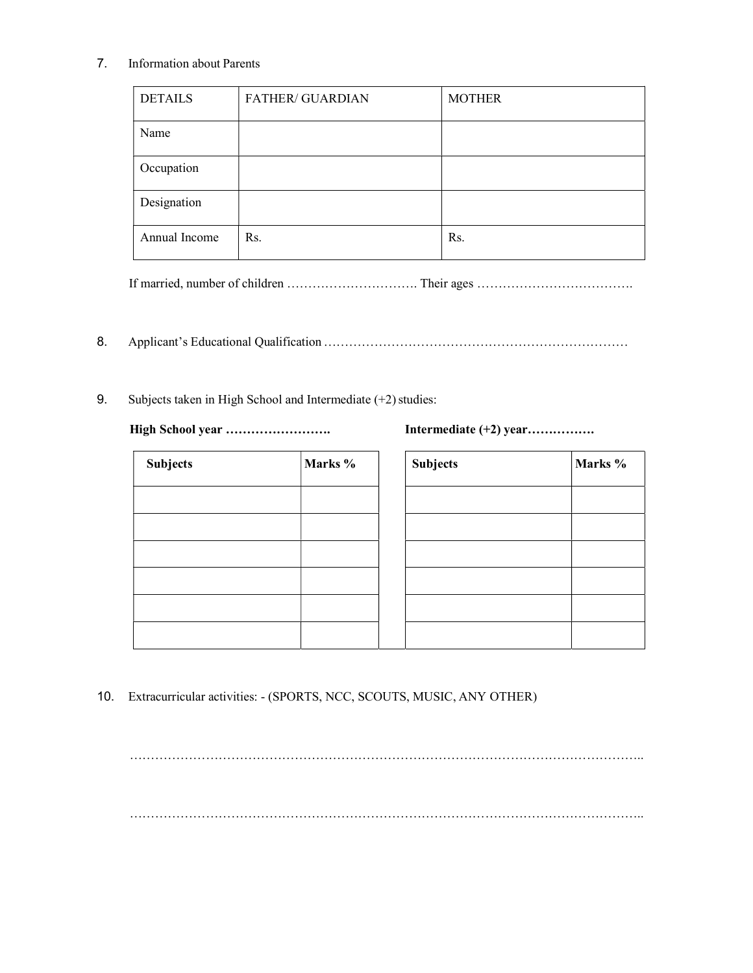# 7. Information about Parents

| <b>DETAILS</b> | <b>FATHER/ GUARDIAN</b> | <b>MOTHER</b> |
|----------------|-------------------------|---------------|
| Name           |                         |               |
| Occupation     |                         |               |
| Designation    |                         |               |
| Annual Income  | Rs.                     | Rs.           |

If married, number of children …………………………. Their ages ……………………………….

- 8. Applicant's Educational Qualification ………………………………………………………………
- 9. Subjects taken in High School and Intermediate (+2) studies:

**High School year ……………………. Intermediate (+2) year…………….** 

| <b>Subjects</b> | Marks % | <b>Subjects</b> | Marks % |
|-----------------|---------|-----------------|---------|
|                 |         |                 |         |
|                 |         |                 |         |
|                 |         |                 |         |
|                 |         |                 |         |
|                 |         |                 |         |
|                 |         |                 |         |

| <b>Subjects</b> | Marks % |
|-----------------|---------|
|                 |         |
|                 |         |
|                 |         |
|                 |         |
|                 |         |
|                 |         |

10. Extracurricular activities: - (SPORTS, NCC, SCOUTS, MUSIC, ANY OTHER)

………………………………………………………………………………………………………….. …………………………………………………………………………………………………………..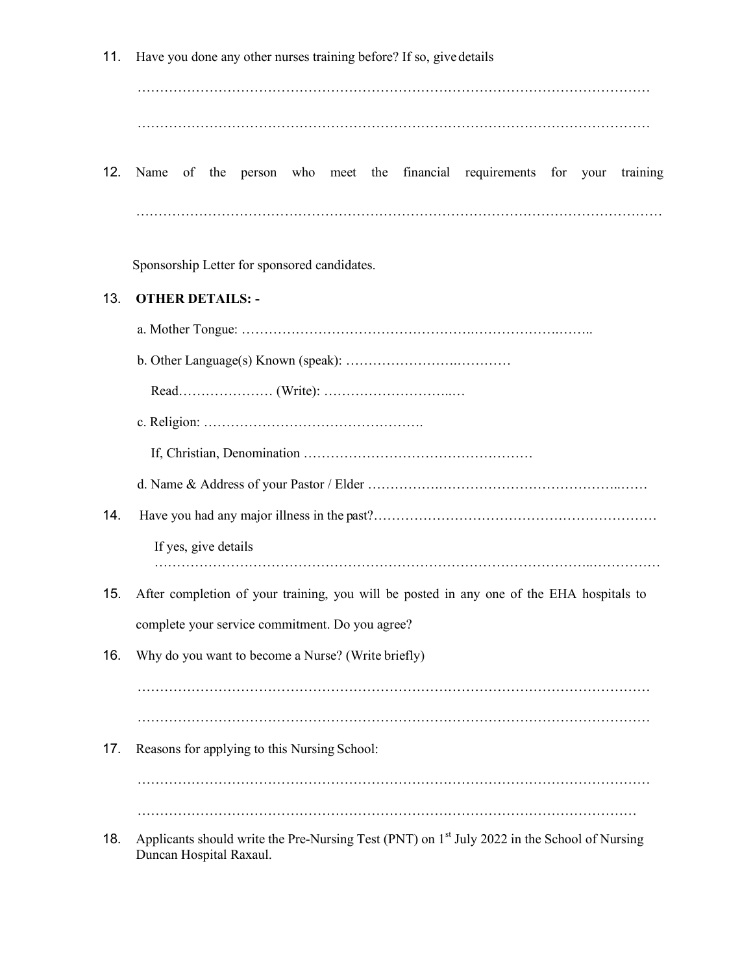11. Have you done any other nurses training before? If so, give details

…………………………………………………………………………………………………… ……………………………………………………………………………………………………

12. Name of the person who meet the financial requirements for your training ………………………………………………………………………………………………………

Sponsorship Letter for sponsored candidates.

#### 13. **OTHER DETAILS: -**

- a. Mother Tongue: …………………………………………….……………….……..
- b. Other Language(s) Known (speak): …………………….…………

Read………………… (Write): ………………………..…

- c. Religion: ………………………………………….
	- If, Christian, Denomination ……………………………………………

d. Name & Address of your Pastor / Elder …………….…………………………………..……

- 14. Have you had any major illness in the past?………………………………………………………………………………………
	- If yes, give details ……………………………………………………………………………………..……………
- 15. After completion of your training, you will be posted in any one of the EHA hospitals to complete your service commitment. Do you agree?
- 16. Why do you want to become a Nurse? (Write briefly)

…………………………………………………………………………………………………… …………………………………………………………………………………………………… 17. Reasons for applying to this Nursing School:

……………………………………………………………………………………………………

…………………………………………………………………………………………………

18. Applicants should write the Pre-Nursing Test (PNT) on 1<sup>st</sup> July 2022 in the School of Nursing Duncan Hospital Raxaul.